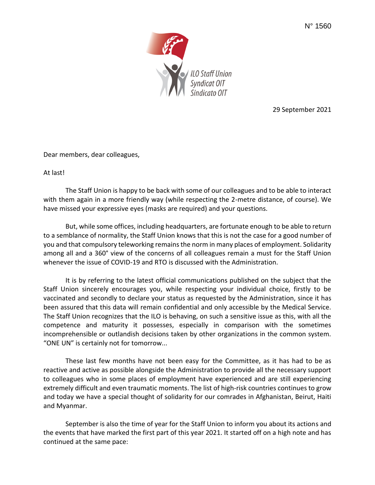

29 September 2021

Dear members, dear colleagues,

At last!

The Staff Union is happy to be back with some of our colleagues and to be able to interact with them again in a more friendly way (while respecting the 2-metre distance, of course). We have missed your expressive eyes (masks are required) and your questions.

But, while some offices, including headquarters, are fortunate enough to be able to return to a semblance of normality, the Staff Union knows that this is not the case for a good number of you and that compulsory teleworking remains the norm in many places of employment. Solidarity among all and a 360° view of the concerns of all colleagues remain a must for the Staff Union whenever the issue of COVID-19 and RTO is discussed with the Administration.

It is by referring to the latest official communications published on the subject that the Staff Union sincerely encourages you, while respecting your individual choice, firstly to be vaccinated and secondly to declare your status as requested by the Administration, since it has been assured that this data will remain confidential and only accessible by the Medical Service. The Staff Union recognizes that the ILO is behaving, on such a sensitive issue as this, with all the competence and maturity it possesses, especially in comparison with the sometimes incomprehensible or outlandish decisions taken by other organizations in the common system. "ONE UN" is certainly not for tomorrow...

These last few months have not been easy for the Committee, as it has had to be as reactive and active as possible alongside the Administration to provide all the necessary support to colleagues who in some places of employment have experienced and are still experiencing extremely difficult and even traumatic moments. The list of high-risk countries continues to grow and today we have a special thought of solidarity for our comrades in Afghanistan, Beirut, Haiti and Myanmar.

September is also the time of year for the Staff Union to inform you about its actions and the events that have marked the first part of this year 2021. It started off on a high note and has continued at the same pace: